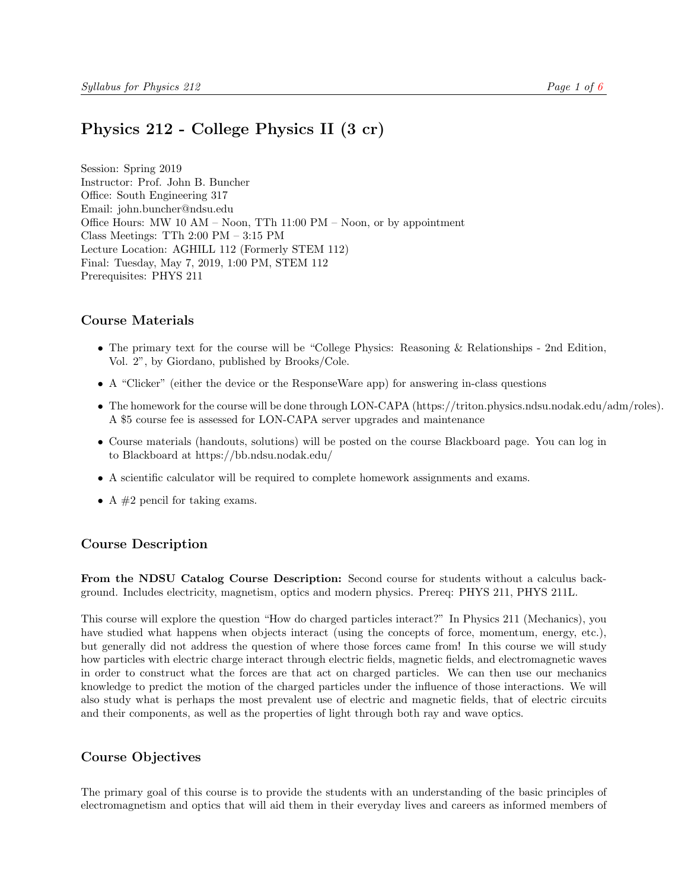# <span id="page-0-0"></span>Physics 212 - College Physics II (3 cr)

Session: Spring 2019 Instructor: Prof. John B. Buncher Office: South Engineering 317 Email: john.buncher@ndsu.edu Office Hours: MW 10 AM – Noon, TTh 11:00 PM – Noon, or by appointment Class Meetings: TTh 2:00 PM – 3:15 PM Lecture Location: AGHILL 112 (Formerly STEM 112) Final: Tuesday, May 7, 2019, 1:00 PM, STEM 112 Prerequisites: PHYS 211

## Course Materials

- The primary text for the course will be "College Physics: Reasoning & Relationships 2nd Edition, Vol. 2", by Giordano, published by Brooks/Cole.
- A "Clicker" (either the device or the ResponseWare app) for answering in-class questions
- The homework for the course will be done through LON-CAPA (https://triton.physics.ndsu.nodak.edu/adm/roles). A \$5 course fee is assessed for LON-CAPA server upgrades and maintenance
- Course materials (handouts, solutions) will be posted on the course Blackboard page. You can log in to Blackboard at https://bb.ndsu.nodak.edu/
- A scientific calculator will be required to complete homework assignments and exams.
- A  $#2$  pencil for taking exams.

## Course Description

From the NDSU Catalog Course Description: Second course for students without a calculus background. Includes electricity, magnetism, optics and modern physics. Prereq: PHYS 211, PHYS 211L.

This course will explore the question "How do charged particles interact?" In Physics 211 (Mechanics), you have studied what happens when objects interact (using the concepts of force, momentum, energy, etc.), but generally did not address the question of where those forces came from! In this course we will study how particles with electric charge interact through electric fields, magnetic fields, and electromagnetic waves in order to construct what the forces are that act on charged particles. We can then use our mechanics knowledge to predict the motion of the charged particles under the influence of those interactions. We will also study what is perhaps the most prevalent use of electric and magnetic fields, that of electric circuits and their components, as well as the properties of light through both ray and wave optics.

## Course Objectives

The primary goal of this course is to provide the students with an understanding of the basic principles of electromagnetism and optics that will aid them in their everyday lives and careers as informed members of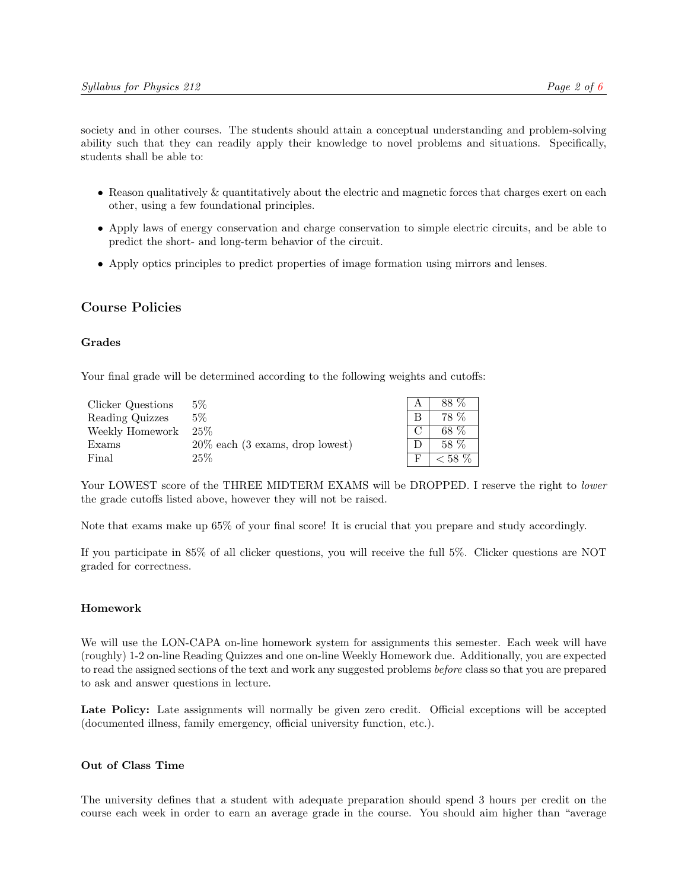society and in other courses. The students should attain a conceptual understanding and problem-solving ability such that they can readily apply their knowledge to novel problems and situations. Specifically, students shall be able to:

- Reason qualitatively & quantitatively about the electric and magnetic forces that charges exert on each other, using a few foundational principles.
- Apply laws of energy conservation and charge conservation to simple electric circuits, and be able to predict the short- and long-term behavior of the circuit.
- Apply optics principles to predict properties of image formation using mirrors and lenses.

### Course Policies

#### Grades

Your final grade will be determined according to the following weights and cutoffs:

| Clicker Questions | $5\%$                              | 88 % |
|-------------------|------------------------------------|------|
| Reading Quizzes   | $5\%$                              | 78 % |
| Weekly Homework   | $-25\%$                            | 68 % |
| Exams             | $20\%$ each (3 exams, drop lowest) | 58 % |
| Final             | 25%                                | 58 % |

Your LOWEST score of the THREE MIDTERM EXAMS will be DROPPED. I reserve the right to lower the grade cutoffs listed above, however they will not be raised.

Note that exams make up 65% of your final score! It is crucial that you prepare and study accordingly.

If you participate in 85% of all clicker questions, you will receive the full 5%. Clicker questions are NOT graded for correctness.

#### Homework

We will use the LON-CAPA on-line homework system for assignments this semester. Each week will have (roughly) 1-2 on-line Reading Quizzes and one on-line Weekly Homework due. Additionally, you are expected to read the assigned sections of the text and work any suggested problems before class so that you are prepared to ask and answer questions in lecture.

Late Policy: Late assignments will normally be given zero credit. Official exceptions will be accepted (documented illness, family emergency, official university function, etc.).

### Out of Class Time

The university defines that a student with adequate preparation should spend 3 hours per credit on the course each week in order to earn an average grade in the course. You should aim higher than "average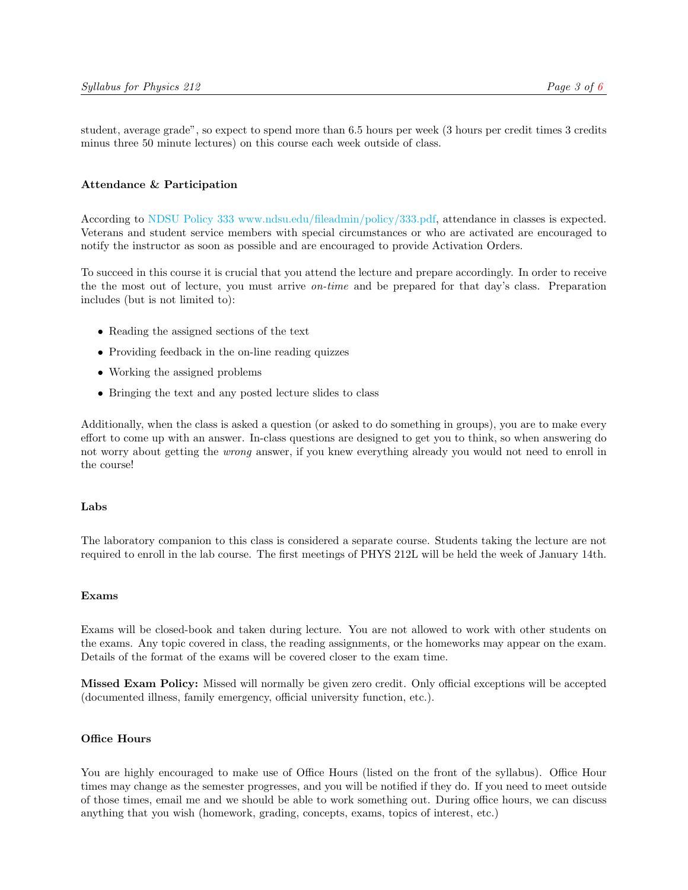student, average grade", so expect to spend more than 6.5 hours per week (3 hours per credit times 3 credits minus three 50 minute lectures) on this course each week outside of class.

### Attendance & Participation

According to [NDSU Policy 333](#page-0-0) [www.ndsu.edu/fileadmin/policy/333.pdf,](#page-0-0) attendance in classes is expected. Veterans and student service members with special circumstances or who are activated are encouraged to notify the instructor as soon as possible and are encouraged to provide Activation Orders.

To succeed in this course it is crucial that you attend the lecture and prepare accordingly. In order to receive the the most out of lecture, you must arrive on-time and be prepared for that day's class. Preparation includes (but is not limited to):

- Reading the assigned sections of the text
- Providing feedback in the on-line reading quizzes
- Working the assigned problems
- Bringing the text and any posted lecture slides to class

Additionally, when the class is asked a question (or asked to do something in groups), you are to make every effort to come up with an answer. In-class questions are designed to get you to think, so when answering do not worry about getting the wrong answer, if you knew everything already you would not need to enroll in the course!

#### Labs

The laboratory companion to this class is considered a separate course. Students taking the lecture are not required to enroll in the lab course. The first meetings of PHYS 212L will be held the week of January 14th.

#### Exams

Exams will be closed-book and taken during lecture. You are not allowed to work with other students on the exams. Any topic covered in class, the reading assignments, or the homeworks may appear on the exam. Details of the format of the exams will be covered closer to the exam time.

Missed Exam Policy: Missed will normally be given zero credit. Only official exceptions will be accepted (documented illness, family emergency, official university function, etc.).

#### Office Hours

You are highly encouraged to make use of Office Hours (listed on the front of the syllabus). Office Hour times may change as the semester progresses, and you will be notified if they do. If you need to meet outside of those times, email me and we should be able to work something out. During office hours, we can discuss anything that you wish (homework, grading, concepts, exams, topics of interest, etc.)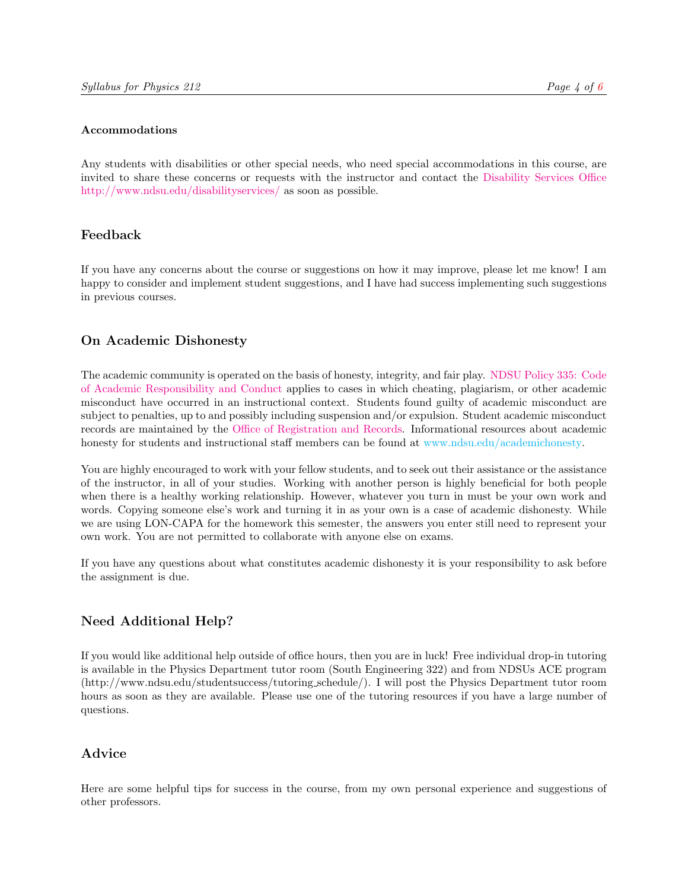#### Accommodations

Any students with disabilities or other special needs, who need special accommodations in this course, are invited to share these concerns or requests with the instructor and contact the [Disability Services Office](http://www.ndsu.edu/disabilityservices) [http://www.ndsu.edu/disabilityservices/](http://www.ndsu.edu/disabilityservices) as soon as possible.

# Feedback

If you have any concerns about the course or suggestions on how it may improve, please let me know! I am happy to consider and implement student suggestions, and I have had success implementing such suggestions in previous courses.

# On Academic Dishonesty

The academic community is operated on the basis of honesty, integrity, and fair play. [NDSU Policy 335:](http://www.ndsu.edu/fileadmin/policy/335.pdf) [Code](http://www.ndsu.edu/fileadmin/policy/335.pdf) [of Academic Responsibility and Conduct](http://www.ndsu.edu/fileadmin/policy/335.pdf) applies to cases in which cheating, plagiarism, or other academic misconduct have occurred in an instructional context. Students found guilty of academic misconduct are subject to penalties, up to and possibly including suspension and/or expulsion. Student academic misconduct records are maintained by the [Office of Registration and Records.](http://www.ndsu.edu/registrar) Informational resources about academic honesty for students and instructional staff members can be found at [www.ndsu.edu/academichonesty.](#page-0-0)

You are highly encouraged to work with your fellow students, and to seek out their assistance or the assistance of the instructor, in all of your studies. Working with another person is highly beneficial for both people when there is a healthy working relationship. However, whatever you turn in must be your own work and words. Copying someone else's work and turning it in as your own is a case of academic dishonesty. While we are using LON-CAPA for the homework this semester, the answers you enter still need to represent your own work. You are not permitted to collaborate with anyone else on exams.

If you have any questions about what constitutes academic dishonesty it is your responsibility to ask before the assignment is due.

# Need Additional Help?

If you would like additional help outside of office hours, then you are in luck! Free individual drop-in tutoring is available in the Physics Department tutor room (South Engineering 322) and from NDSUs ACE program (http://www.ndsu.edu/studentsuccess/tutoring schedule/). I will post the Physics Department tutor room hours as soon as they are available. Please use one of the tutoring resources if you have a large number of questions.

# Advice

Here are some helpful tips for success in the course, from my own personal experience and suggestions of other professors.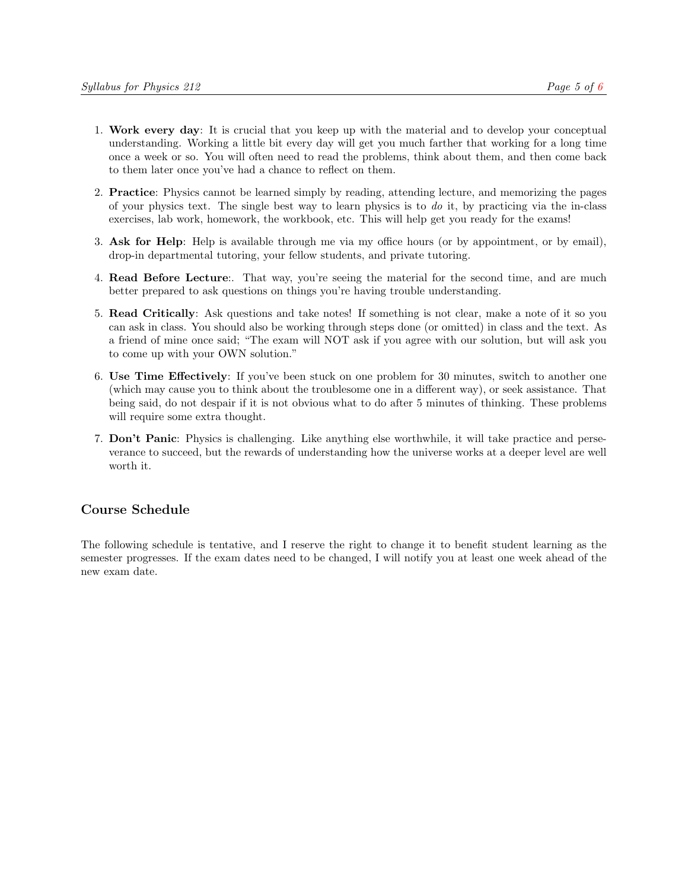- 1. Work every day: It is crucial that you keep up with the material and to develop your conceptual understanding. Working a little bit every day will get you much farther that working for a long time once a week or so. You will often need to read the problems, think about them, and then come back to them later once you've had a chance to reflect on them.
- 2. Practice: Physics cannot be learned simply by reading, attending lecture, and memorizing the pages of your physics text. The single best way to learn physics is to do it, by practicing via the in-class exercises, lab work, homework, the workbook, etc. This will help get you ready for the exams!
- 3. Ask for Help: Help is available through me via my office hours (or by appointment, or by email), drop-in departmental tutoring, your fellow students, and private tutoring.
- 4. Read Before Lecture:. That way, you're seeing the material for the second time, and are much better prepared to ask questions on things you're having trouble understanding.
- 5. Read Critically: Ask questions and take notes! If something is not clear, make a note of it so you can ask in class. You should also be working through steps done (or omitted) in class and the text. As a friend of mine once said; "The exam will NOT ask if you agree with our solution, but will ask you to come up with your OWN solution."
- 6. Use Time Effectively: If you've been stuck on one problem for 30 minutes, switch to another one (which may cause you to think about the troublesome one in a different way), or seek assistance. That being said, do not despair if it is not obvious what to do after 5 minutes of thinking. These problems will require some extra thought.
- 7. Don't Panic: Physics is challenging. Like anything else worthwhile, it will take practice and perseverance to succeed, but the rewards of understanding how the universe works at a deeper level are well worth it.

# Course Schedule

The following schedule is tentative, and I reserve the right to change it to benefit student learning as the semester progresses. If the exam dates need to be changed, I will notify you at least one week ahead of the new exam date.